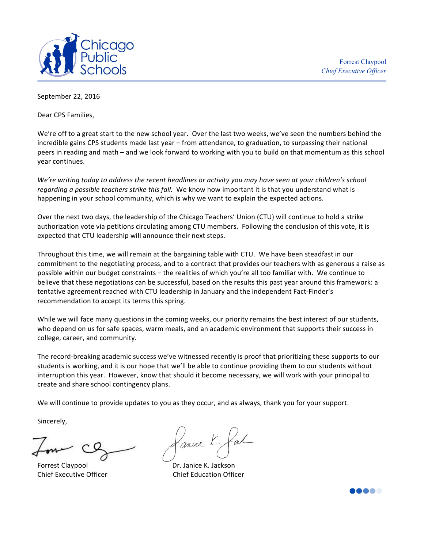

September 22, 2016

Dear CPS Families,

We're off to a great start to the new school year. Over the last two weeks, we've seen the numbers behind the incredible gains CPS students made last year – from attendance, to graduation, to surpassing their national peers in reading and math – and we look forward to working with you to build on that momentum as this school year continues.

*We're* writing today to address the recent headlines or activity you may have seen at your children's school *regarding a possible teachers strike this fall.* We know how important it is that you understand what is happening in your school community, which is why we want to explain the expected actions.

Over the next two days, the leadership of the Chicago Teachers' Union (CTU) will continue to hold a strike authorization vote via petitions circulating among CTU members. Following the conclusion of this vote, it is expected that CTU leadership will announce their next steps.

Throughout this time, we will remain at the bargaining table with CTU. We have been steadfast in our commitment to the negotiating process, and to a contract that provides our teachers with as generous a raise as possible within our budget constraints - the realities of which you're all too familiar with. We continue to believe that these negotiations can be successful, based on the results this past year around this framework: a tentative agreement reached with CTU leadership in January and the independent Fact-Finder's recommendation to accept its terms this spring.

While we will face many questions in the coming weeks, our priority remains the best interest of our students, who depend on us for safe spaces, warm meals, and an academic environment that supports their success in college, career, and community.

The record-breaking academic success we've witnessed recently is proof that prioritizing these supports to our students is working, and it is our hope that we'll be able to continue providing them to our students without interruption this year. However, know that should it become necessary, we will work with your principal to create and share school contingency plans.

We will continue to provide updates to you as they occur, and as always, thank you for your support.

Sincerely,

Forrest Claypool **Example 1** Dr. Janice K. Jackson

Lance K.

Chief Executive Officer **South Accord Chief Education Officer**